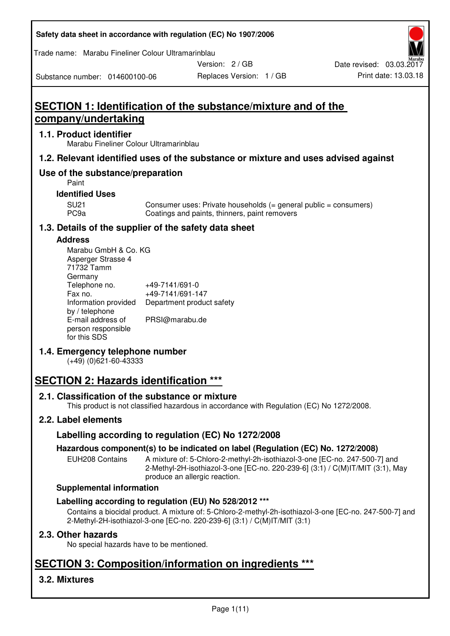### **Safety data sheet in accordance with regulation (EC) No 1907/2006**

Trade name: Marabu Fineliner Colour Ultramarinblau

Substance number: 014600100-06

Version: 2 / GB

Replaces Version: 1 / GB Print date: 13.03.18 Date revised: 03.03.2017

# **SECTION 1: Identification of the substance/mixture and of the company/undertaking**

### **1.1. Product identifier**

Marabu Fineliner Colour Ultramarinblau

### **1.2. Relevant identified uses of the substance or mixture and uses advised against**

### **Use of the substance/preparation**

Paint

### **Identified Uses**

SU21 Consumer uses: Private households (= general public = consumers)<br>PC9a Coatings and paints, thinners, paint removers Coatings and paints, thinners, paint removers

### **1.3. Details of the supplier of the safety data sheet**

### **Address**

| Marabu GmbH & Co. KG |                           |
|----------------------|---------------------------|
| Asperger Strasse 4   |                           |
| 71732 Tamm           |                           |
| Germany              |                           |
| Telephone no.        | +49-7141/691-0            |
| Fax no.              | +49-7141/691-147          |
| Information provided | Department product safety |
| by / telephone       |                           |
| E-mail address of    | PRSI@marabu.de            |
| person responsible   |                           |
| for this SDS         |                           |

### **1.4. Emergency telephone number**

(+49) (0)621-60-43333

# **SECTION 2: Hazards identification \*\*\***

### **2.1. Classification of the substance or mixture**

This product is not classified hazardous in accordance with Regulation (EC) No 1272/2008.

### **2.2. Label elements**

### **Labelling according to regulation (EC) No 1272/2008**

### **Hazardous component(s) to be indicated on label (Regulation (EC) No. 1272/2008)**

EUH208 Contains A mixture of: 5-Chloro-2-methyl-2h-isothiazol-3-one [EC-no. 247-500-7] and 2-Methyl-2H-isothiazol-3-one [EC-no. 220-239-6] (3:1) / C(M)IT/MIT (3:1), May produce an allergic reaction.

### **Supplemental information**

### **Labelling according to regulation (EU) No 528/2012 \*\*\***

Contains a biocidal product. A mixture of: 5-Chloro-2-methyl-2h-isothiazol-3-one [EC-no. 247-500-7] and 2-Methyl-2H-isothiazol-3-one [EC-no. 220-239-6] (3:1) / C(M)IT/MIT (3:1)

### **2.3. Other hazards**

No special hazards have to be mentioned.

# **SECTION 3: Composition/information on ingredients \*\*\***

### **3.2. Mixtures**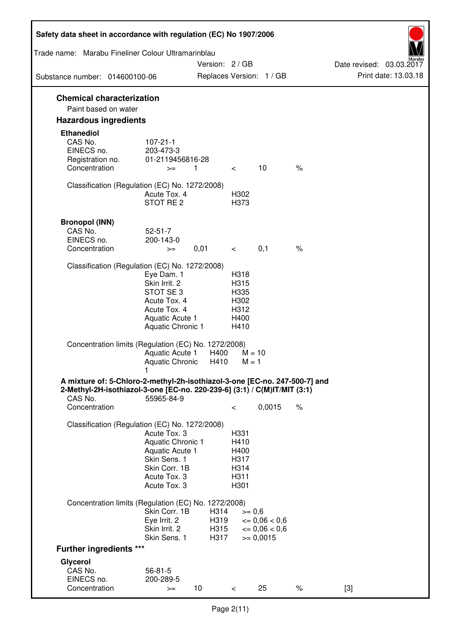| Safety data sheet in accordance with regulation (EC) No 1907/2006                                                                                      |                                      |                 |              |                                                    |      |                                                  |
|--------------------------------------------------------------------------------------------------------------------------------------------------------|--------------------------------------|-----------------|--------------|----------------------------------------------------|------|--------------------------------------------------|
| Trade name: Marabu Fineliner Colour Ultramarinblau                                                                                                     |                                      |                 |              |                                                    |      |                                                  |
| Substance number: 014600100-06                                                                                                                         |                                      | Version: 2 / GB |              | Replaces Version: 1 / GB                           |      | Date revised: 03.03.2017<br>Print date: 13.03.18 |
| <b>Chemical characterization</b>                                                                                                                       |                                      |                 |              |                                                    |      |                                                  |
| Paint based on water                                                                                                                                   |                                      |                 |              |                                                    |      |                                                  |
| <b>Hazardous ingredients</b>                                                                                                                           |                                      |                 |              |                                                    |      |                                                  |
| <b>Ethanediol</b>                                                                                                                                      |                                      |                 |              |                                                    |      |                                                  |
| CAS No.                                                                                                                                                | $107 - 21 - 1$                       |                 |              |                                                    |      |                                                  |
| EINECS no.                                                                                                                                             | 203-473-3                            |                 |              |                                                    |      |                                                  |
| Registration no.<br>Concentration                                                                                                                      | 01-2119456816-28<br>$>=$             | $\mathbf{1}$    | $\lt$        | 10                                                 | $\%$ |                                                  |
|                                                                                                                                                        |                                      |                 |              |                                                    |      |                                                  |
| Classification (Regulation (EC) No. 1272/2008)                                                                                                         |                                      |                 |              |                                                    |      |                                                  |
|                                                                                                                                                        | Acute Tox. 4<br>STOT RE <sub>2</sub> |                 | H302<br>H373 |                                                    |      |                                                  |
|                                                                                                                                                        |                                      |                 |              |                                                    |      |                                                  |
| <b>Bronopol (INN)</b>                                                                                                                                  |                                      |                 |              |                                                    |      |                                                  |
| CAS No.                                                                                                                                                | $52 - 51 - 7$                        |                 |              |                                                    |      |                                                  |
| EINECS no.<br>Concentration                                                                                                                            | 200-143-0<br>$>=$                    | 0,01            | $\,<\,$      | 0,1                                                | $\%$ |                                                  |
|                                                                                                                                                        |                                      |                 |              |                                                    |      |                                                  |
| Classification (Regulation (EC) No. 1272/2008)                                                                                                         |                                      |                 |              |                                                    |      |                                                  |
|                                                                                                                                                        | Eye Dam. 1<br>Skin Irrit. 2          |                 | H318<br>H315 |                                                    |      |                                                  |
|                                                                                                                                                        | STOT SE3                             |                 | H335         |                                                    |      |                                                  |
|                                                                                                                                                        | Acute Tox. 4                         |                 | H302         |                                                    |      |                                                  |
|                                                                                                                                                        | Acute Tox. 4<br>Aquatic Acute 1      |                 | H312<br>H400 |                                                    |      |                                                  |
|                                                                                                                                                        | Aquatic Chronic 1                    |                 | H410         |                                                    |      |                                                  |
| Concentration limits (Regulation (EC) No. 1272/2008)                                                                                                   |                                      |                 |              |                                                    |      |                                                  |
|                                                                                                                                                        | Aquatic Acute 1                      | H400            |              | $M = 10$                                           |      |                                                  |
|                                                                                                                                                        | <b>Aquatic Chronic</b>               | H410            | $M = 1$      |                                                    |      |                                                  |
| A mixture of: 5-Chloro-2-methyl-2h-isothiazol-3-one [EC-no. 247-500-7] and<br>2-Methyl-2H-isothiazol-3-one [EC-no. 220-239-6] (3:1) / C(M)IT/MIT (3:1) |                                      |                 |              |                                                    |      |                                                  |
| CAS No.                                                                                                                                                | 55965-84-9                           |                 |              |                                                    |      |                                                  |
| Concentration                                                                                                                                          |                                      |                 | $\,<\,$      | 0,0015                                             | $\%$ |                                                  |
| Classification (Regulation (EC) No. 1272/2008)                                                                                                         |                                      |                 |              |                                                    |      |                                                  |
|                                                                                                                                                        | Acute Tox. 3                         |                 | H331         |                                                    |      |                                                  |
|                                                                                                                                                        | Aquatic Chronic 1                    |                 | H410         |                                                    |      |                                                  |
|                                                                                                                                                        | Aquatic Acute 1<br>Skin Sens. 1      |                 | H400<br>H317 |                                                    |      |                                                  |
|                                                                                                                                                        | Skin Corr. 1B                        |                 | H314         |                                                    |      |                                                  |
|                                                                                                                                                        | Acute Tox. 3                         |                 | H311         |                                                    |      |                                                  |
|                                                                                                                                                        | Acute Tox. 3                         |                 | H301         |                                                    |      |                                                  |
| Concentration limits (Regulation (EC) No. 1272/2008)                                                                                                   |                                      |                 |              |                                                    |      |                                                  |
|                                                                                                                                                        | Skin Corr. 1B                        | H314            | $>= 0,6$     |                                                    |      |                                                  |
|                                                                                                                                                        | Eye Irrit. 2<br>Skin Irrit. 2        | H319<br>H315    |              | $\epsilon = 0.06 < 0.6$<br>$\epsilon = 0.06 < 0.6$ |      |                                                  |
|                                                                                                                                                        | Skin Sens. 1                         | H317            |              | $>= 0,0015$                                        |      |                                                  |
| <b>Further ingredients ***</b>                                                                                                                         |                                      |                 |              |                                                    |      |                                                  |
| Glycerol                                                                                                                                               |                                      |                 |              |                                                    |      |                                                  |
| CAS No.                                                                                                                                                | $56 - 81 - 5$                        |                 |              |                                                    |      |                                                  |
| EINECS no.<br>Concentration                                                                                                                            | 200-289-5<br>$>=$                    | 10              | $\,<$        | 25                                                 | $\%$ | $[3]$                                            |
|                                                                                                                                                        |                                      |                 |              |                                                    |      |                                                  |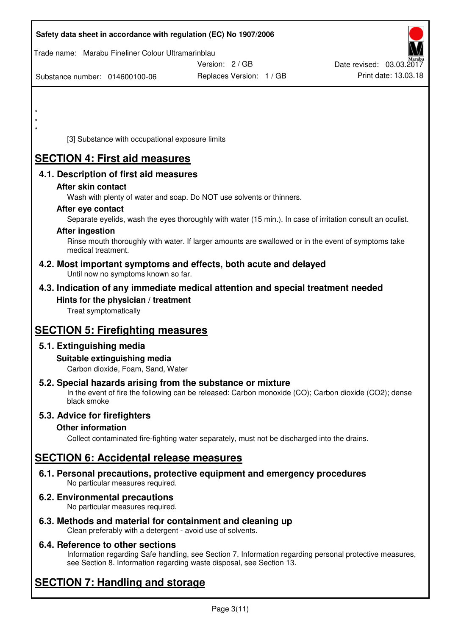| Safety data sheet in accordance with regulation (EC) No 1907/2006                                                                                                                  |                          |                          |
|------------------------------------------------------------------------------------------------------------------------------------------------------------------------------------|--------------------------|--------------------------|
| Trade name: Marabu Fineliner Colour Ultramarinblau                                                                                                                                 |                          |                          |
|                                                                                                                                                                                    | Version: 2 / GB          | Date revised: 03.03.2017 |
| Substance number: 014600100-06                                                                                                                                                     | Replaces Version: 1 / GB | Print date: 13.03.18     |
|                                                                                                                                                                                    |                          |                          |
| $\star$                                                                                                                                                                            |                          |                          |
|                                                                                                                                                                                    |                          |                          |
| [3] Substance with occupational exposure limits                                                                                                                                    |                          |                          |
| <b>SECTION 4: First aid measures</b>                                                                                                                                               |                          |                          |
| 4.1. Description of first aid measures                                                                                                                                             |                          |                          |
| After skin contact                                                                                                                                                                 |                          |                          |
| Wash with plenty of water and soap. Do NOT use solvents or thinners.                                                                                                               |                          |                          |
| After eye contact                                                                                                                                                                  |                          |                          |
| Separate eyelids, wash the eyes thoroughly with water (15 min.). In case of irritation consult an oculist.<br><b>After ingestion</b>                                               |                          |                          |
| Rinse mouth thoroughly with water. If larger amounts are swallowed or in the event of symptoms take                                                                                |                          |                          |
| medical treatment.                                                                                                                                                                 |                          |                          |
| 4.2. Most important symptoms and effects, both acute and delayed<br>Until now no symptoms known so far.                                                                            |                          |                          |
| 4.3. Indication of any immediate medical attention and special treatment needed                                                                                                    |                          |                          |
| Hints for the physician / treatment                                                                                                                                                |                          |                          |
| Treat symptomatically                                                                                                                                                              |                          |                          |
| <b>SECTION 5: Firefighting measures</b>                                                                                                                                            |                          |                          |
| 5.1. Extinguishing media                                                                                                                                                           |                          |                          |
| Suitable extinguishing media                                                                                                                                                       |                          |                          |
| Carbon dioxide, Foam, Sand, Water                                                                                                                                                  |                          |                          |
| 5.2. Special hazards arising from the substance or mixture<br>In the event of fire the following can be released: Carbon monoxide (CO); Carbon dioxide (CO2); dense<br>black smoke |                          |                          |
| 5.3. Advice for firefighters                                                                                                                                                       |                          |                          |
| <b>Other information</b>                                                                                                                                                           |                          |                          |
| Collect contaminated fire-fighting water separately, must not be discharged into the drains.                                                                                       |                          |                          |
| <b>SECTION 6: Accidental release measures</b>                                                                                                                                      |                          |                          |
| 6.1. Personal precautions, protective equipment and emergency procedures<br>No particular measures required.                                                                       |                          |                          |
| 6.2. Environmental precautions<br>No particular measures required.                                                                                                                 |                          |                          |
| 6.3. Methods and material for containment and cleaning up                                                                                                                          |                          |                          |

Clean preferably with a detergent - avoid use of solvents.

### **6.4. Reference to other sections**

Information regarding Safe handling, see Section 7. Information regarding personal protective measures, see Section 8. Information regarding waste disposal, see Section 13.

# **SECTION 7: Handling and storage**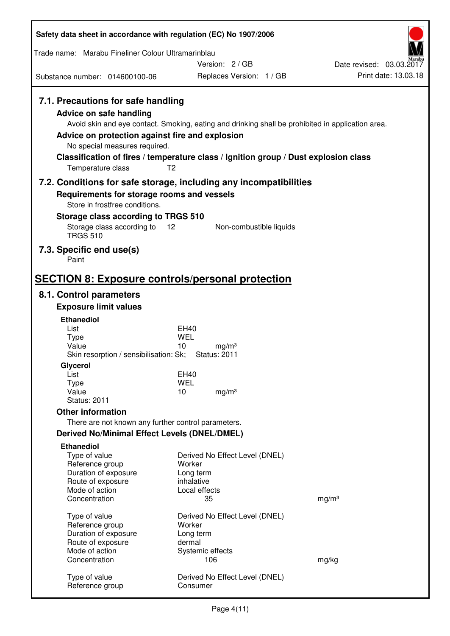| Safety data sheet in accordance with regulation (EC) No 1907/2006                       |                                                                                                       |                          |
|-----------------------------------------------------------------------------------------|-------------------------------------------------------------------------------------------------------|--------------------------|
| Trade name: Marabu Fineliner Colour Ultramarinblau                                      |                                                                                                       |                          |
|                                                                                         | Version: 2/GB                                                                                         | Date revised: 03.03.2017 |
| Substance number: 014600100-06                                                          | Replaces Version: 1 / GB                                                                              | Print date: 13.03.18     |
| 7.1. Precautions for safe handling<br><b>Advice on safe handling</b>                    | Avoid skin and eye contact. Smoking, eating and drinking shall be prohibited in application area.     |                          |
| Advice on protection against fire and explosion<br>No special measures required.        |                                                                                                       |                          |
| Temperature class                                                                       | Classification of fires / temperature class / Ignition group / Dust explosion class<br>T <sub>2</sub> |                          |
|                                                                                         | 7.2. Conditions for safe storage, including any incompatibilities                                     |                          |
| Requirements for storage rooms and vessels<br>Store in frostfree conditions.            |                                                                                                       |                          |
| Storage class according to TRGS 510<br>Storage class according to 12<br><b>TRGS 510</b> | Non-combustible liquids                                                                               |                          |
| 7.3. Specific end use(s)<br>Paint                                                       |                                                                                                       |                          |
| <b>SECTION 8: Exposure controls/personal protection</b>                                 |                                                                                                       |                          |
| 8.1. Control parameters                                                                 |                                                                                                       |                          |
| <b>Exposure limit values</b>                                                            |                                                                                                       |                          |
| <b>Ethanediol</b>                                                                       |                                                                                                       |                          |
| List<br><b>Type</b>                                                                     | EH40<br>WEL                                                                                           |                          |
| Value<br>Skin resorption / sensibilisation: Sk;                                         | 10<br>mg/m <sup>3</sup><br><b>Status: 2011</b>                                                        |                          |
| Glycerol<br>List                                                                        | EH40                                                                                                  |                          |
| Type                                                                                    | <b>WEL</b>                                                                                            |                          |
| Value<br><b>Status: 2011</b>                                                            | 10<br>mg/m <sup>3</sup>                                                                               |                          |
| <b>Other information</b>                                                                |                                                                                                       |                          |
| There are not known any further control parameters.                                     |                                                                                                       |                          |
| <b>Derived No/Minimal Effect Levels (DNEL/DMEL)</b>                                     |                                                                                                       |                          |
| <b>Ethanediol</b>                                                                       |                                                                                                       |                          |
| Type of value                                                                           | Derived No Effect Level (DNEL)                                                                        |                          |
| Reference group<br>Duration of exposure                                                 | Worker<br>Long term                                                                                   |                          |
| Route of exposure                                                                       | inhalative                                                                                            |                          |
| Mode of action                                                                          | Local effects                                                                                         |                          |
| Concentration                                                                           | 35                                                                                                    | mg/m <sup>3</sup>        |
| Type of value                                                                           | Derived No Effect Level (DNEL)                                                                        |                          |
| Reference group                                                                         | Worker                                                                                                |                          |
| Duration of exposure<br>Route of exposure                                               | Long term<br>dermal                                                                                   |                          |
| Mode of action                                                                          | Systemic effects                                                                                      |                          |
| Concentration                                                                           | 106                                                                                                   | mg/kg                    |
| Type of value<br>Reference group                                                        | Derived No Effect Level (DNEL)<br>Consumer                                                            |                          |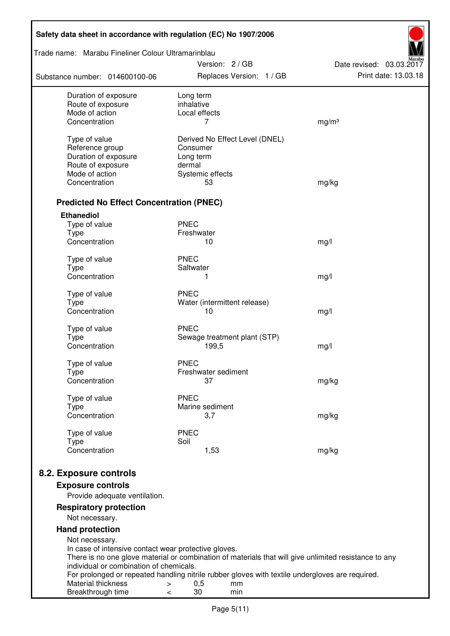| Safety data sheet in accordance with regulation (EC) No 1907/2006 |                                                                                                       |                          |
|-------------------------------------------------------------------|-------------------------------------------------------------------------------------------------------|--------------------------|
| Trade name: Marabu Fineliner Colour Ultramarinblau                | Version: 2/GB                                                                                         | Date revised: 03.03.2017 |
| Substance number: 014600100-06                                    | Replaces Version: 1 / GB                                                                              | Print date: 13.03.18     |
| Duration of exposure<br>Route of exposure                         | Long term<br>inhalative                                                                               |                          |
| Mode of action                                                    | Local effects                                                                                         |                          |
| Concentration                                                     | 7                                                                                                     | mg/m <sup>3</sup>        |
| Type of value                                                     | Derived No Effect Level (DNEL)                                                                        |                          |
| Reference group                                                   | Consumer                                                                                              |                          |
| Duration of exposure                                              | Long term                                                                                             |                          |
| Route of exposure                                                 | dermal                                                                                                |                          |
| Mode of action                                                    | Systemic effects                                                                                      |                          |
| Concentration                                                     | 53                                                                                                    | mg/kg                    |
| <b>Predicted No Effect Concentration (PNEC)</b>                   |                                                                                                       |                          |
| <b>Ethanediol</b>                                                 |                                                                                                       |                          |
| Type of value<br><b>Type</b>                                      | <b>PNEC</b><br>Freshwater                                                                             |                          |
| Concentration                                                     | 10                                                                                                    | mg/l                     |
|                                                                   |                                                                                                       |                          |
| Type of value                                                     | <b>PNEC</b>                                                                                           |                          |
| <b>Type</b><br>Concentration                                      | Saltwater<br>1                                                                                        | mg/l                     |
|                                                                   |                                                                                                       |                          |
| Type of value                                                     | <b>PNEC</b>                                                                                           |                          |
| <b>Type</b>                                                       | Water (intermittent release)                                                                          |                          |
| Concentration                                                     | 10                                                                                                    | mg/l                     |
| Type of value                                                     | <b>PNEC</b>                                                                                           |                          |
| <b>Type</b>                                                       | Sewage treatment plant (STP)                                                                          |                          |
| Concentration                                                     | 199,5                                                                                                 | mg/l                     |
| Type of value                                                     | <b>PNEC</b>                                                                                           |                          |
| Type                                                              | Freshwater sediment                                                                                   |                          |
| Concentration                                                     | 37                                                                                                    | mg/kg                    |
| Type of value                                                     | <b>PNEC</b>                                                                                           |                          |
| <b>Type</b>                                                       | Marine sediment                                                                                       |                          |
| Concentration                                                     | 3,7                                                                                                   | mg/kg                    |
| Type of value                                                     | <b>PNEC</b>                                                                                           |                          |
| <b>Type</b>                                                       | Soil                                                                                                  |                          |
| Concentration                                                     | 1,53                                                                                                  | mg/kg                    |
| 8.2. Exposure controls                                            |                                                                                                       |                          |
| <b>Exposure controls</b>                                          |                                                                                                       |                          |
| Provide adequate ventilation.                                     |                                                                                                       |                          |
| <b>Respiratory protection</b>                                     |                                                                                                       |                          |
| Not necessary.                                                    |                                                                                                       |                          |
| <b>Hand protection</b>                                            |                                                                                                       |                          |
| Not necessary.                                                    |                                                                                                       |                          |
| In case of intensive contact wear protective gloves.              |                                                                                                       |                          |
| individual or combination of chemicals.                           | There is no one glove material or combination of materials that will give unlimited resistance to any |                          |
|                                                                   | For prolonged or repeated handling nitrile rubber gloves with textile undergloves are required.       |                          |
| <b>Material thickness</b>                                         | 0,5<br>mm<br>>                                                                                        |                          |
| Breakthrough time                                                 | 30<br>min<br>$\,<\,$                                                                                  |                          |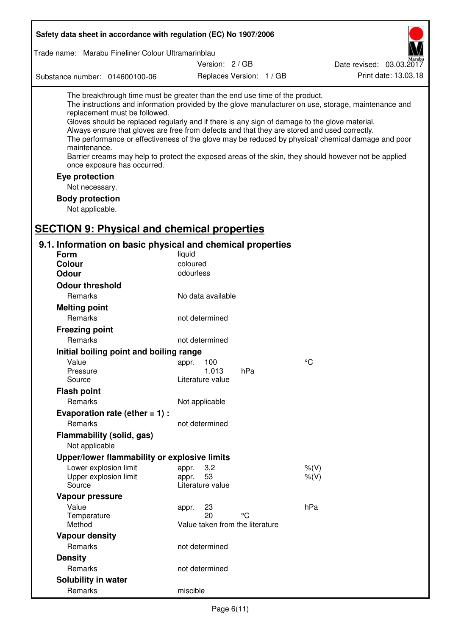| Safety data sheet in accordance with regulation (EC) No 1907/2006                                                                                                                                                                                                                                                                                            |                                                 |                          |                                                                                                                                                                                                                                                                                                                    |  |  |  |
|--------------------------------------------------------------------------------------------------------------------------------------------------------------------------------------------------------------------------------------------------------------------------------------------------------------------------------------------------------------|-------------------------------------------------|--------------------------|--------------------------------------------------------------------------------------------------------------------------------------------------------------------------------------------------------------------------------------------------------------------------------------------------------------------|--|--|--|
| Trade name: Marabu Fineliner Colour Ultramarinblau                                                                                                                                                                                                                                                                                                           |                                                 |                          |                                                                                                                                                                                                                                                                                                                    |  |  |  |
|                                                                                                                                                                                                                                                                                                                                                              | Version: 2 / GB                                 |                          | Date revised: 03.03.2017                                                                                                                                                                                                                                                                                           |  |  |  |
| Substance number: 014600100-06                                                                                                                                                                                                                                                                                                                               |                                                 | Replaces Version: 1 / GB | Print date: 13.03.18                                                                                                                                                                                                                                                                                               |  |  |  |
| The breakthrough time must be greater than the end use time of the product.<br>replacement must be followed.<br>Gloves should be replaced regularly and if there is any sign of damage to the glove material.<br>Always ensure that gloves are free from defects and that they are stored and used correctly.<br>maintenance.<br>once exposure has occurred. |                                                 |                          | The instructions and information provided by the glove manufacturer on use, storage, maintenance and<br>The performance or effectiveness of the glove may be reduced by physical/ chemical damage and poor<br>Barrier creams may help to protect the exposed areas of the skin, they should however not be applied |  |  |  |
| Eye protection                                                                                                                                                                                                                                                                                                                                               |                                                 |                          |                                                                                                                                                                                                                                                                                                                    |  |  |  |
| Not necessary.                                                                                                                                                                                                                                                                                                                                               |                                                 |                          |                                                                                                                                                                                                                                                                                                                    |  |  |  |
| <b>Body protection</b><br>Not applicable.                                                                                                                                                                                                                                                                                                                    |                                                 |                          |                                                                                                                                                                                                                                                                                                                    |  |  |  |
| <b>SECTION 9: Physical and chemical properties</b>                                                                                                                                                                                                                                                                                                           |                                                 |                          |                                                                                                                                                                                                                                                                                                                    |  |  |  |
| 9.1. Information on basic physical and chemical properties                                                                                                                                                                                                                                                                                                   |                                                 |                          |                                                                                                                                                                                                                                                                                                                    |  |  |  |
| <b>Form</b>                                                                                                                                                                                                                                                                                                                                                  | liquid                                          |                          |                                                                                                                                                                                                                                                                                                                    |  |  |  |
| <b>Colour</b>                                                                                                                                                                                                                                                                                                                                                | coloured                                        |                          |                                                                                                                                                                                                                                                                                                                    |  |  |  |
| <b>Odour</b>                                                                                                                                                                                                                                                                                                                                                 | odourless                                       |                          |                                                                                                                                                                                                                                                                                                                    |  |  |  |
| <b>Odour threshold</b>                                                                                                                                                                                                                                                                                                                                       |                                                 |                          |                                                                                                                                                                                                                                                                                                                    |  |  |  |
| Remarks                                                                                                                                                                                                                                                                                                                                                      | No data available                               |                          |                                                                                                                                                                                                                                                                                                                    |  |  |  |
| <b>Melting point</b>                                                                                                                                                                                                                                                                                                                                         |                                                 |                          |                                                                                                                                                                                                                                                                                                                    |  |  |  |
| Remarks                                                                                                                                                                                                                                                                                                                                                      | not determined                                  |                          |                                                                                                                                                                                                                                                                                                                    |  |  |  |
| <b>Freezing point</b>                                                                                                                                                                                                                                                                                                                                        |                                                 |                          |                                                                                                                                                                                                                                                                                                                    |  |  |  |
| Remarks                                                                                                                                                                                                                                                                                                                                                      | not determined                                  |                          |                                                                                                                                                                                                                                                                                                                    |  |  |  |
| Initial boiling point and boiling range                                                                                                                                                                                                                                                                                                                      |                                                 |                          |                                                                                                                                                                                                                                                                                                                    |  |  |  |
| Value                                                                                                                                                                                                                                                                                                                                                        | appr. 100                                       |                          | °C                                                                                                                                                                                                                                                                                                                 |  |  |  |
| Pressure                                                                                                                                                                                                                                                                                                                                                     | 1.013                                           | hPa                      |                                                                                                                                                                                                                                                                                                                    |  |  |  |
| Source                                                                                                                                                                                                                                                                                                                                                       | Literature value                                |                          |                                                                                                                                                                                                                                                                                                                    |  |  |  |
| <b>Flash point</b>                                                                                                                                                                                                                                                                                                                                           |                                                 |                          |                                                                                                                                                                                                                                                                                                                    |  |  |  |
| Remarks                                                                                                                                                                                                                                                                                                                                                      | Not applicable                                  |                          |                                                                                                                                                                                                                                                                                                                    |  |  |  |
| Evaporation rate (ether $= 1$ ) :                                                                                                                                                                                                                                                                                                                            |                                                 |                          |                                                                                                                                                                                                                                                                                                                    |  |  |  |
| Remarks                                                                                                                                                                                                                                                                                                                                                      | not determined                                  |                          |                                                                                                                                                                                                                                                                                                                    |  |  |  |
| Flammability (solid, gas)                                                                                                                                                                                                                                                                                                                                    |                                                 |                          |                                                                                                                                                                                                                                                                                                                    |  |  |  |
| Not applicable                                                                                                                                                                                                                                                                                                                                               |                                                 |                          |                                                                                                                                                                                                                                                                                                                    |  |  |  |
| Upper/lower flammability or explosive limits                                                                                                                                                                                                                                                                                                                 |                                                 |                          |                                                                                                                                                                                                                                                                                                                    |  |  |  |
| Lower explosion limit<br>Upper explosion limit<br>Source                                                                                                                                                                                                                                                                                                     | 3,2<br>appr.<br>53<br>appr.<br>Literature value |                          | $%$ (V)<br>$%$ (V)                                                                                                                                                                                                                                                                                                 |  |  |  |
| Vapour pressure                                                                                                                                                                                                                                                                                                                                              |                                                 |                          |                                                                                                                                                                                                                                                                                                                    |  |  |  |
| Value                                                                                                                                                                                                                                                                                                                                                        | 23<br>appr.                                     |                          | hPa                                                                                                                                                                                                                                                                                                                |  |  |  |
| Temperature                                                                                                                                                                                                                                                                                                                                                  | 20                                              | °C                       |                                                                                                                                                                                                                                                                                                                    |  |  |  |
| Method                                                                                                                                                                                                                                                                                                                                                       | Value taken from the literature                 |                          |                                                                                                                                                                                                                                                                                                                    |  |  |  |
| <b>Vapour density</b>                                                                                                                                                                                                                                                                                                                                        |                                                 |                          |                                                                                                                                                                                                                                                                                                                    |  |  |  |
| Remarks                                                                                                                                                                                                                                                                                                                                                      | not determined                                  |                          |                                                                                                                                                                                                                                                                                                                    |  |  |  |
| <b>Density</b>                                                                                                                                                                                                                                                                                                                                               |                                                 |                          |                                                                                                                                                                                                                                                                                                                    |  |  |  |
| Remarks                                                                                                                                                                                                                                                                                                                                                      | not determined                                  |                          |                                                                                                                                                                                                                                                                                                                    |  |  |  |
| Solubility in water                                                                                                                                                                                                                                                                                                                                          |                                                 |                          |                                                                                                                                                                                                                                                                                                                    |  |  |  |
| Remarks                                                                                                                                                                                                                                                                                                                                                      | miscible                                        |                          |                                                                                                                                                                                                                                                                                                                    |  |  |  |

r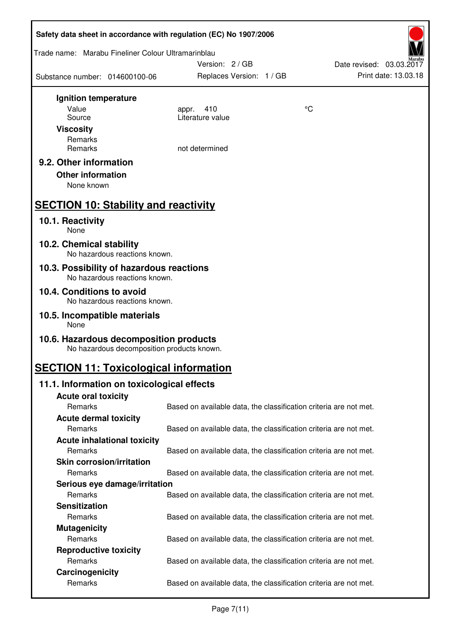| Safety data sheet in accordance with regulation (EC) No 1907/2006         |                                                                   |                                                  |
|---------------------------------------------------------------------------|-------------------------------------------------------------------|--------------------------------------------------|
| Trade name: Marabu Fineliner Colour Ultramarinblau                        | Version: 2/GB                                                     |                                                  |
| Substance number: 014600100-06                                            | Replaces Version: 1 / GB                                          | Date revised: 03.03.2017<br>Print date: 13.03.18 |
| Ignition temperature                                                      |                                                                   |                                                  |
| Value                                                                     | 410<br>appr.                                                      | $\rm ^{\circ}C$                                  |
| Source                                                                    | Literature value                                                  |                                                  |
| <b>Viscosity</b>                                                          |                                                                   |                                                  |
| Remarks                                                                   |                                                                   |                                                  |
| Remarks                                                                   | not determined                                                    |                                                  |
| 9.2. Other information                                                    |                                                                   |                                                  |
| <b>Other information</b>                                                  |                                                                   |                                                  |
| None known                                                                |                                                                   |                                                  |
| <b>SECTION 10: Stability and reactivity</b>                               |                                                                   |                                                  |
|                                                                           |                                                                   |                                                  |
| 10.1. Reactivity<br>None                                                  |                                                                   |                                                  |
| 10.2. Chemical stability<br>No hazardous reactions known.                 |                                                                   |                                                  |
| 10.3. Possibility of hazardous reactions<br>No hazardous reactions known. |                                                                   |                                                  |
| 10.4. Conditions to avoid<br>No hazardous reactions known.                |                                                                   |                                                  |
| 10.5. Incompatible materials<br>None                                      |                                                                   |                                                  |
| 10.6. Hazardous decomposition products                                    |                                                                   |                                                  |
| No hazardous decomposition products known.                                |                                                                   |                                                  |
| <b>SECTION 11: Toxicological information</b>                              |                                                                   |                                                  |
| 11.1. Information on toxicological effects                                |                                                                   |                                                  |
| <b>Acute oral toxicity</b>                                                |                                                                   |                                                  |
| Remarks                                                                   | Based on available data, the classification criteria are not met. |                                                  |
| <b>Acute dermal toxicity</b>                                              |                                                                   |                                                  |
| Remarks                                                                   | Based on available data, the classification criteria are not met. |                                                  |
| <b>Acute inhalational toxicity</b>                                        |                                                                   |                                                  |
| Remarks                                                                   | Based on available data, the classification criteria are not met. |                                                  |
| <b>Skin corrosion/irritation</b>                                          |                                                                   |                                                  |
| Remarks                                                                   | Based on available data, the classification criteria are not met. |                                                  |
| Serious eye damage/irritation                                             |                                                                   |                                                  |
| Remarks                                                                   | Based on available data, the classification criteria are not met. |                                                  |
| <b>Sensitization</b>                                                      |                                                                   |                                                  |
| Remarks                                                                   | Based on available data, the classification criteria are not met. |                                                  |
| <b>Mutagenicity</b>                                                       |                                                                   |                                                  |
| Remarks                                                                   | Based on available data, the classification criteria are not met. |                                                  |
| <b>Reproductive toxicity</b>                                              |                                                                   |                                                  |
| Remarks                                                                   | Based on available data, the classification criteria are not met. |                                                  |
| Carcinogenicity                                                           |                                                                   |                                                  |
| Remarks                                                                   | Based on available data, the classification criteria are not met. |                                                  |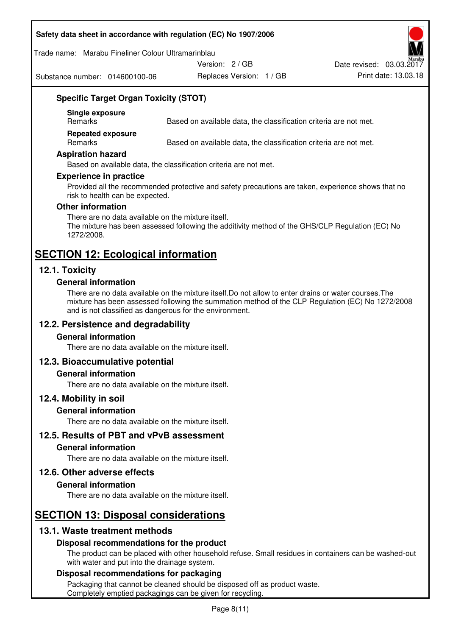### **Safety data sheet in accordance with regulation (EC) No 1907/2006**

#### Trade name: Marabu Fineliner Colour Ultramarinblau

Substance number: 014600100-06

Version: 2 / GB

Replaces Version: 1 / GB Print date: 13.03.18 Date revised: 03.03.2017

### **Specific Target Organ Toxicity (STOT)**

**Single exposure** 

Based on available data, the classification criteria are not met.

**Repeated exposure** 

Remarks Based on available data, the classification criteria are not met.

### **Aspiration hazard**

Based on available data, the classification criteria are not met.

### **Experience in practice**

Provided all the recommended protective and safety precautions are taken, experience shows that no risk to health can be expected.

#### **Other information**

There are no data available on the mixture itself. The mixture has been assessed following the additivity method of the GHS/CLP Regulation (EC) No 1272/2008.

## **SECTION 12: Ecological information**

### **12.1. Toxicity**

### **General information**

There are no data available on the mixture itself.Do not allow to enter drains or water courses.The mixture has been assessed following the summation method of the CLP Regulation (EC) No 1272/2008 and is not classified as dangerous for the environment.

### **12.2. Persistence and degradability**

### **General information**

There are no data available on the mixture itself.

### **12.3. Bioaccumulative potential**

### **General information**

There are no data available on the mixture itself.

### **12.4. Mobility in soil**

### **General information**

There are no data available on the mixture itself.

**12.5. Results of PBT and vPvB assessment** 

### **General information**

There are no data available on the mixture itself.

### **12.6. Other adverse effects**

### **General information**

There are no data available on the mixture itself.

# **SECTION 13: Disposal considerations**

### **13.1. Waste treatment methods**

### **Disposal recommendations for the product**

The product can be placed with other household refuse. Small residues in containers can be washed-out with water and put into the drainage system.

### **Disposal recommendations for packaging**

Packaging that cannot be cleaned should be disposed off as product waste. Completely emptied packagings can be given for recycling.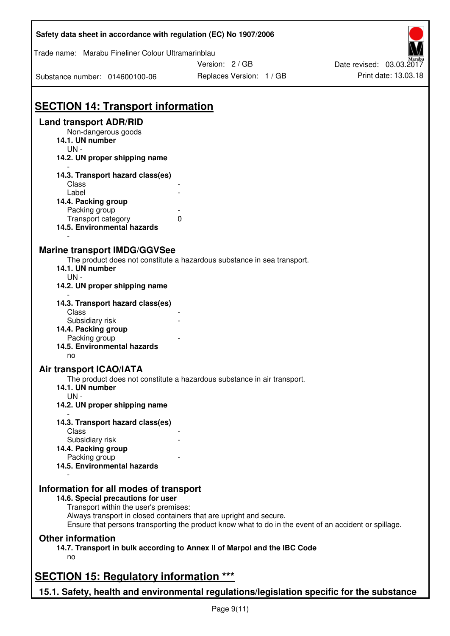| Trade name: Marabu Fineliner Colour Ultramarinblau   | Safety data sheet in accordance with regulation (EC) No 1907/2006                                     |                          |
|------------------------------------------------------|-------------------------------------------------------------------------------------------------------|--------------------------|
|                                                      | Version: 2/GB                                                                                         | Date revised: 03.03.2017 |
| Substance number: 014600100-06                       | Replaces Version: 1 / GB                                                                              | Print date: 13.03.18     |
|                                                      |                                                                                                       |                          |
| <b>SECTION 14: Transport information</b>             |                                                                                                       |                          |
| <b>Land transport ADR/RID</b><br>Non-dangerous goods |                                                                                                       |                          |
| 14.1. UN number                                      |                                                                                                       |                          |
| $UN -$<br>14.2. UN proper shipping name              |                                                                                                       |                          |
|                                                      |                                                                                                       |                          |
| 14.3. Transport hazard class(es)                     |                                                                                                       |                          |
| Class<br>Label                                       |                                                                                                       |                          |
| 14.4. Packing group                                  |                                                                                                       |                          |
| Packing group                                        |                                                                                                       |                          |
| Transport category                                   | $\Omega$                                                                                              |                          |
| 14.5. Environmental hazards                          |                                                                                                       |                          |
| <b>Marine transport IMDG/GGVSee</b>                  |                                                                                                       |                          |
|                                                      | The product does not constitute a hazardous substance in sea transport.                               |                          |
| 14.1. UN number                                      |                                                                                                       |                          |
| $UN -$                                               |                                                                                                       |                          |
| 14.2. UN proper shipping name                        |                                                                                                       |                          |
| 14.3. Transport hazard class(es)                     |                                                                                                       |                          |
| Class                                                |                                                                                                       |                          |
| Subsidiary risk                                      |                                                                                                       |                          |
| 14.4. Packing group                                  |                                                                                                       |                          |
| Packing group                                        |                                                                                                       |                          |
| 14.5. Environmental hazards                          |                                                                                                       |                          |
| no                                                   |                                                                                                       |                          |
| Air transport ICAO/IATA                              |                                                                                                       |                          |
|                                                      | The product does not constitute a hazardous substance in air transport.                               |                          |
| 14.1. UN number<br>$UN -$                            |                                                                                                       |                          |
| 14.2. UN proper shipping name                        |                                                                                                       |                          |
|                                                      |                                                                                                       |                          |
| 14.3. Transport hazard class(es)                     |                                                                                                       |                          |
| Class                                                |                                                                                                       |                          |
| Subsidiary risk                                      |                                                                                                       |                          |
| 14.4. Packing group                                  |                                                                                                       |                          |
| Packing group                                        |                                                                                                       |                          |
| 14.5. Environmental hazards                          |                                                                                                       |                          |
|                                                      |                                                                                                       |                          |
| Information for all modes of transport               |                                                                                                       |                          |
| 14.6. Special precautions for user                   |                                                                                                       |                          |
| Transport within the user's premises:                | Always transport in closed containers that are upright and secure.                                    |                          |
|                                                      | Ensure that persons transporting the product know what to do in the event of an accident or spillage. |                          |
|                                                      |                                                                                                       |                          |
| <b>Other information</b>                             |                                                                                                       |                          |
|                                                      | 14.7. Transport in bulk according to Annex II of Marpol and the IBC Code                              |                          |
| no                                                   |                                                                                                       |                          |
|                                                      |                                                                                                       |                          |
| <b>SECTION 15: Regulatory information ***</b>        |                                                                                                       |                          |
|                                                      | 15.1. Safety, health and environmental regulations/legislation specific for the substance             |                          |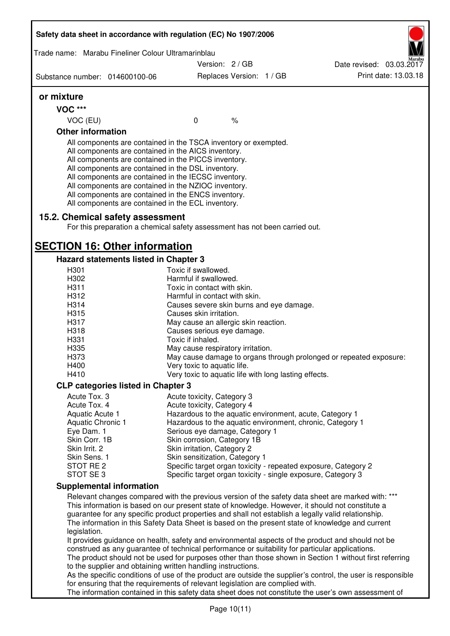| Safety data sheet in accordance with regulation (EC) No 1907/2006 |                                                                                                                                                                                                                                                                                                                                                                                                                                                                   |                                                            |      |                                                                                                                                                                                                                                                                                                                                                                                                                  |
|-------------------------------------------------------------------|-------------------------------------------------------------------------------------------------------------------------------------------------------------------------------------------------------------------------------------------------------------------------------------------------------------------------------------------------------------------------------------------------------------------------------------------------------------------|------------------------------------------------------------|------|------------------------------------------------------------------------------------------------------------------------------------------------------------------------------------------------------------------------------------------------------------------------------------------------------------------------------------------------------------------------------------------------------------------|
| Trade name: Marabu Fineliner Colour Ultramarinblau                |                                                                                                                                                                                                                                                                                                                                                                                                                                                                   |                                                            |      |                                                                                                                                                                                                                                                                                                                                                                                                                  |
|                                                                   |                                                                                                                                                                                                                                                                                                                                                                                                                                                                   | Version: 2/GB                                              |      | Date revised: 03.03.2017                                                                                                                                                                                                                                                                                                                                                                                         |
| Substance number: 014600100-06                                    |                                                                                                                                                                                                                                                                                                                                                                                                                                                                   | Replaces Version: 1 / GB                                   |      | Print date: 13.03.18                                                                                                                                                                                                                                                                                                                                                                                             |
| or mixture                                                        |                                                                                                                                                                                                                                                                                                                                                                                                                                                                   |                                                            |      |                                                                                                                                                                                                                                                                                                                                                                                                                  |
| <b>VOC ***</b>                                                    |                                                                                                                                                                                                                                                                                                                                                                                                                                                                   |                                                            |      |                                                                                                                                                                                                                                                                                                                                                                                                                  |
| VOC (EU)                                                          |                                                                                                                                                                                                                                                                                                                                                                                                                                                                   | $\mathbf 0$                                                | $\%$ |                                                                                                                                                                                                                                                                                                                                                                                                                  |
| <b>Other information</b>                                          |                                                                                                                                                                                                                                                                                                                                                                                                                                                                   |                                                            |      |                                                                                                                                                                                                                                                                                                                                                                                                                  |
|                                                                   | All components are contained in the TSCA inventory or exempted.<br>All components are contained in the AICS inventory.<br>All components are contained in the PICCS inventory.<br>All components are contained in the DSL inventory.<br>All components are contained in the IECSC inventory.<br>All components are contained in the NZIOC inventory.<br>All components are contained in the ENCS inventory.<br>All components are contained in the ECL inventory. |                                                            |      |                                                                                                                                                                                                                                                                                                                                                                                                                  |
|                                                                   | 15.2. Chemical safety assessment<br>For this preparation a chemical safety assessment has not been carried out.                                                                                                                                                                                                                                                                                                                                                   |                                                            |      |                                                                                                                                                                                                                                                                                                                                                                                                                  |
| <b>SECTION 16: Other information</b>                              |                                                                                                                                                                                                                                                                                                                                                                                                                                                                   |                                                            |      |                                                                                                                                                                                                                                                                                                                                                                                                                  |
|                                                                   | <b>Hazard statements listed in Chapter 3</b>                                                                                                                                                                                                                                                                                                                                                                                                                      |                                                            |      |                                                                                                                                                                                                                                                                                                                                                                                                                  |
| H301                                                              |                                                                                                                                                                                                                                                                                                                                                                                                                                                                   | Toxic if swallowed.                                        |      |                                                                                                                                                                                                                                                                                                                                                                                                                  |
| H302<br>H311                                                      |                                                                                                                                                                                                                                                                                                                                                                                                                                                                   | Harmful if swallowed.<br>Toxic in contact with skin.       |      |                                                                                                                                                                                                                                                                                                                                                                                                                  |
| H312                                                              |                                                                                                                                                                                                                                                                                                                                                                                                                                                                   | Harmful in contact with skin.                              |      |                                                                                                                                                                                                                                                                                                                                                                                                                  |
| H314                                                              |                                                                                                                                                                                                                                                                                                                                                                                                                                                                   | Causes severe skin burns and eye damage.                   |      |                                                                                                                                                                                                                                                                                                                                                                                                                  |
| H315                                                              |                                                                                                                                                                                                                                                                                                                                                                                                                                                                   | Causes skin irritation.                                    |      |                                                                                                                                                                                                                                                                                                                                                                                                                  |
| H317                                                              |                                                                                                                                                                                                                                                                                                                                                                                                                                                                   | May cause an allergic skin reaction.                       |      |                                                                                                                                                                                                                                                                                                                                                                                                                  |
| H318                                                              |                                                                                                                                                                                                                                                                                                                                                                                                                                                                   | Causes serious eye damage.                                 |      |                                                                                                                                                                                                                                                                                                                                                                                                                  |
| H331                                                              |                                                                                                                                                                                                                                                                                                                                                                                                                                                                   | Toxic if inhaled.                                          |      |                                                                                                                                                                                                                                                                                                                                                                                                                  |
| H335                                                              |                                                                                                                                                                                                                                                                                                                                                                                                                                                                   | May cause respiratory irritation.                          |      | May cause damage to organs through prolonged or repeated exposure:                                                                                                                                                                                                                                                                                                                                               |
| H373<br>H400                                                      |                                                                                                                                                                                                                                                                                                                                                                                                                                                                   | Very toxic to aquatic life.                                |      |                                                                                                                                                                                                                                                                                                                                                                                                                  |
| H410                                                              |                                                                                                                                                                                                                                                                                                                                                                                                                                                                   | Very toxic to aquatic life with long lasting effects.      |      |                                                                                                                                                                                                                                                                                                                                                                                                                  |
|                                                                   | <b>CLP categories listed in Chapter 3</b>                                                                                                                                                                                                                                                                                                                                                                                                                         |                                                            |      |                                                                                                                                                                                                                                                                                                                                                                                                                  |
| Acute Tox, 3                                                      |                                                                                                                                                                                                                                                                                                                                                                                                                                                                   | Acute toxicity, Category 3                                 |      |                                                                                                                                                                                                                                                                                                                                                                                                                  |
| Acute Tox. 4                                                      |                                                                                                                                                                                                                                                                                                                                                                                                                                                                   | Acute toxicity, Category 4                                 |      |                                                                                                                                                                                                                                                                                                                                                                                                                  |
| Aquatic Acute 1                                                   |                                                                                                                                                                                                                                                                                                                                                                                                                                                                   |                                                            |      | Hazardous to the aquatic environment, acute, Category 1                                                                                                                                                                                                                                                                                                                                                          |
| Aquatic Chronic 1                                                 |                                                                                                                                                                                                                                                                                                                                                                                                                                                                   |                                                            |      | Hazardous to the aquatic environment, chronic, Category 1                                                                                                                                                                                                                                                                                                                                                        |
| Eye Dam. 1<br>Skin Corr. 1B                                       |                                                                                                                                                                                                                                                                                                                                                                                                                                                                   | Serious eye damage, Category 1                             |      |                                                                                                                                                                                                                                                                                                                                                                                                                  |
| Skin Irrit. 2                                                     |                                                                                                                                                                                                                                                                                                                                                                                                                                                                   | Skin corrosion, Category 1B<br>Skin irritation, Category 2 |      |                                                                                                                                                                                                                                                                                                                                                                                                                  |
| Skin Sens. 1                                                      |                                                                                                                                                                                                                                                                                                                                                                                                                                                                   | Skin sensitization, Category 1                             |      |                                                                                                                                                                                                                                                                                                                                                                                                                  |
| STOT RE 2                                                         |                                                                                                                                                                                                                                                                                                                                                                                                                                                                   |                                                            |      | Specific target organ toxicity - repeated exposure, Category 2                                                                                                                                                                                                                                                                                                                                                   |
| STOT SE 3                                                         |                                                                                                                                                                                                                                                                                                                                                                                                                                                                   |                                                            |      | Specific target organ toxicity - single exposure, Category 3                                                                                                                                                                                                                                                                                                                                                     |
|                                                                   | <b>Supplemental information</b>                                                                                                                                                                                                                                                                                                                                                                                                                                   |                                                            |      |                                                                                                                                                                                                                                                                                                                                                                                                                  |
| legislation.                                                      |                                                                                                                                                                                                                                                                                                                                                                                                                                                                   |                                                            |      | Relevant changes compared with the previous version of the safety data sheet are marked with: ***<br>This information is based on our present state of knowledge. However, it should not constitute a<br>guarantee for any specific product properties and shall not establish a legally valid relationship.<br>The information in this Safety Data Sheet is based on the present state of knowledge and current |
|                                                                   |                                                                                                                                                                                                                                                                                                                                                                                                                                                                   |                                                            |      | It provides guidance on health, safety and environmental aspects of the product and should not be<br>construed as any guarantee of technical performance or suitability for particular applications.<br>The product should not be used for purposes other than those shown in Section 1 without first referring                                                                                                  |
|                                                                   | to the supplier and obtaining written handling instructions.<br>for ensuring that the requirements of relevant legislation are complied with.                                                                                                                                                                                                                                                                                                                     |                                                            |      | As the specific conditions of use of the product are outside the supplier's control, the user is responsible                                                                                                                                                                                                                                                                                                     |
|                                                                   |                                                                                                                                                                                                                                                                                                                                                                                                                                                                   |                                                            |      | The information contained in this safety data sheet does not constitute the user's own assessment of                                                                                                                                                                                                                                                                                                             |